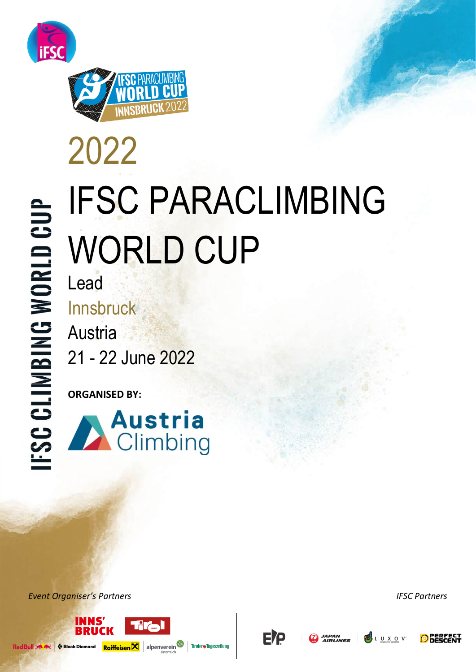



# 2022 IFSC PARACLIMBING WORLD CUP

Lead Innsbruck Austria 21 - 22 June 2022

**ORGANISED BY:** 



*Event Organiser's Partners IFSC Partners*





'AN<br>'LINES



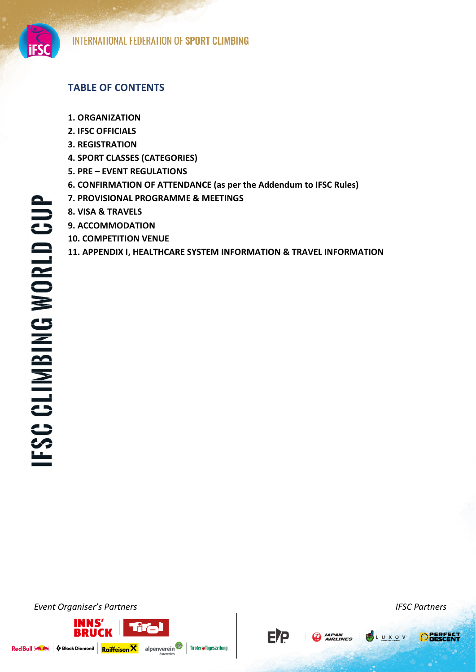

# **TABLE OF CONTENTS**

- **1. ORGANIZATION**
- **2. IFSC OFFICIALS**
- **3. REGISTRATION**
- **4. SPORT CLASSES (CATEGORIES)**
- **5. PRE – EVENT REGULATIONS**
- **6. CONFIRMATION OF ATTENDANCE (as per the Addendum to IFSC Rules)**
- **7. PROVISIONAL PROGRAMME & MEETINGS**
- **8. VISA & TRAVELS**
- **9. ACCOMMODATION**
- **10. COMPETITION VENUE**
- **11. APPENDIX I, HEALTHCARE SYSTEM INFORMATION & TRAVEL INFORMATION**

**E/P** 

Tiroler#Tageszeitung

**AN JAPAN** 

*Event Organiser's Partners IFSC Partners*



LUXOV.

**O** BERFECT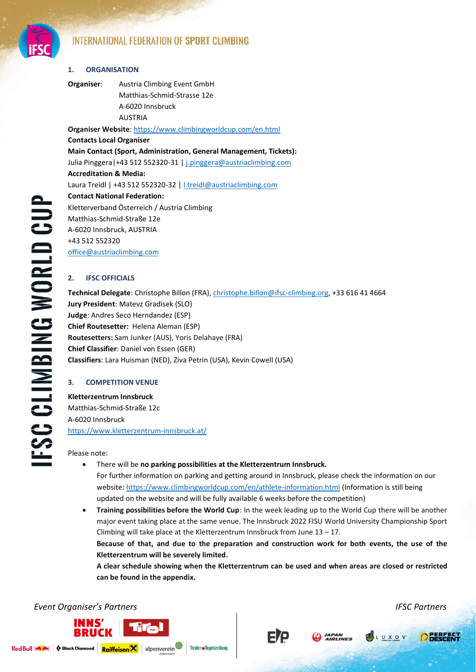

# **1. ORGANISATION**

**Organiser**: Austria Climbing Event GmbH Matthias-Schmid-Strasse 12e A-6020 Innsbruck AUSTRIA

**Organiser Website**[: https://www.climbingworldcup.com/en.html](https://www.climbingworldcup.com/en.html) **Contacts Local Organiser Main Contact (Sport, Administration, General Management, Tickets):**  Julia Pinggera|+43 512 552320-31 [| j.pinggera@austriaclimbing.com](mailto:j.pinggera@austriaclimbing.com) **Accreditation & Media:** Laura Treidl | +43 512 552320-32 [| l.treidl@austriaclimbing.com](mailto:l.treidl@austriaclimbing.com) **Contact National Federation:** Kletterverband Österreich / Austria Climbing Matthias-Schmid-Straße 12e A-6020 Innsbruck, AUSTRIA +43 512 552320 [office@austriaclimbing.com](mailto:office@austriaclimbing.com)

# **2. IFSC OFFICIALS**

**Technical Delegate**: Christophe Billon (FRA)[, christophe.billon@ifsc-climbing.org,](mailto:christophe.billon@ifsc-climbing.org) +33 616 41 4664 **Jury President**: Matevz Gradisek (SLO) **Judge**: Andres Seco Herndandez (ESP) **Chief Routesetter:** Helena Aleman (ESP) **Routesetters:** Sam Junker (AUS), Yoris Delahaye (FRA) **Chief Classifier**: Daniel von Essen (GER) **Classifiers**: Lara Huisman (NED), Ziva Petrin (USA), Kevin Cowell (USA)

# **3. COMPETITION VENUE**

**Kletterzentrum Innsbruck** Matthias-Schmid-Straße 12c A-6020 Innsbruck <https://www.kletterzentrum-innsbruck.at/>

Please note:

- There will be **no parking possibilities at the Kletterzentrum Innsbruck.** For further information on parking and getting around in Innsbruck, please check the information on our website:<https://www.climbingworldcup.com/en/athlete-information.html> (Information is still being updated on the website and will be fully available 6 weeks before the competition)
- **Training possibilities before the World Cup**: In the week leading up to the World Cup there will be another major event taking place at the same venue. The Innsbruck 2022 FISU World University Championship Sport Climbing will take place at the Kletterzentrum Innsbruck from June 13 – 17. **Because of that, and due to the preparation and construction work for both events, the use of the Kletterzentrum will be severely limited. A clear schedule showing when the Kletterzentrum can be used and when areas are closed or restricted**

**can be found in the appendix.**

# *Event Organiser's Partners IFSC Partners*





ETP **CO** JAPAN

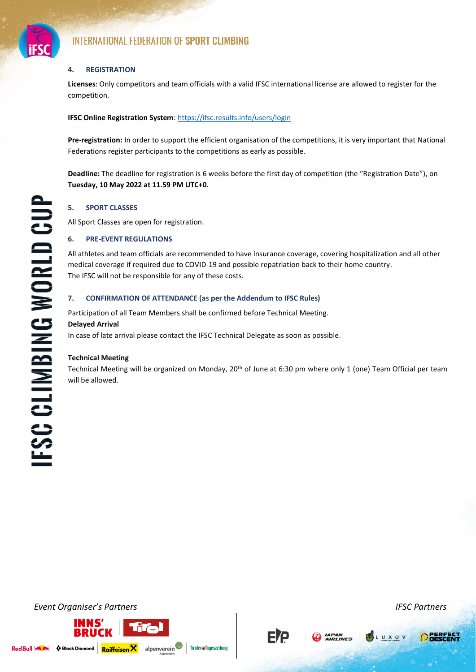

# **4. REGISTRATION**

**Licenses**: Only competitors and team officials with a valid IFSC international license are allowed to register for the competition.

# **IFSC Online Registration System**[: https://ifsc.results.info/users/login](https://ifsc.results.info/users/login)

**Pre-registration:** In order to support the efficient organisation of the competitions, it is very important that National Federations register participants to the competitions as early as possible.

**Deadline:** The deadline for registration is 6 weeks before the first day of competition (the "Registration Date"), on **Tuesday, 10 May 2022 at 11.59 PM UTC+0.**

# **5. SPORT CLASSES**

All Sport Classes are open for registration.

# **6. PRE-EVENT REGULATIONS**

All athletes and team officials are recommended to have insurance coverage, covering hospitalization and all other medical coverage if required due to COVID-19 and possible repatriation back to their home country. The IFSC will not be responsible for any of these costs.

# **7. CONFIRMATION OF ATTENDANCE (as per the Addendum to IFSC Rules)**

Participation of all Team Members shall be confirmed before Technical Meeting.

#### **Delayed Arrival**

In case of late arrival please contact the IFSC Technical Delegate as soon as possible.

# **Technical Meeting**

Technical Meeting will be organized on Monday, 20<sup>th</sup> of June at 6:30 pm where only 1 (one) Team Official per team will be allowed.

*Event Organiser's Partners IFSC Partners*

Red Bull 3 Av





ETP



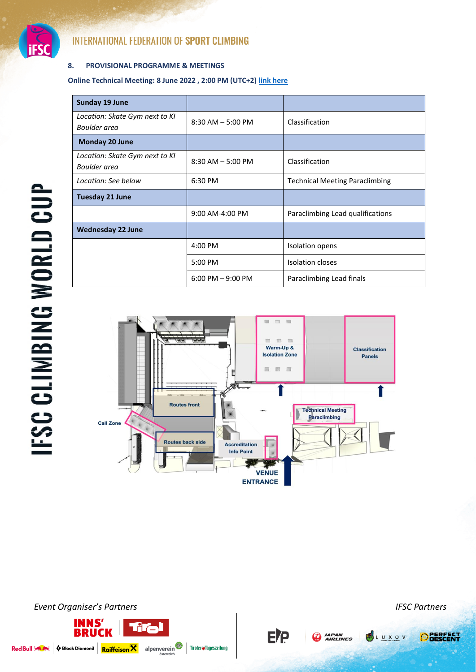

# **8. PROVISIONAL PROGRAMME & MEETINGS**

**Online Technical Meeting: 8 June 2022 , 2:00 PM (UTC+2) [link here](https://teams.microsoft.com/l/meetup-join/19%3ameeting_MDRmYjdkOTMtZTRlNi00M2RjLWI4ZWUtNWFiNmMzZmE5N2Zl%40thread.v2/0?context=%7b%22Tid%22%3a%223390a9a2-7775-4b2e-ac37-a47c9bd39a59%22%2c%22Oid%22%3a%22a5c48ac6-5d15-484e-a4e7-d80f2199337d%22%7d)**

| <b>Sunday 19 June</b>          |                      |                                       |  |  |  |  |
|--------------------------------|----------------------|---------------------------------------|--|--|--|--|
| Location: Skate Gym next to KI | $8:30$ AM $-5:00$ PM | Classification                        |  |  |  |  |
| Boulder area                   |                      |                                       |  |  |  |  |
| Monday 20 June                 |                      |                                       |  |  |  |  |
| Location: Skate Gym next to KI | $8:30$ AM $-5:00$ PM | Classification                        |  |  |  |  |
| Boulder area                   |                      |                                       |  |  |  |  |
| Location: See below            | 6:30 PM              | <b>Technical Meeting Paraclimbing</b> |  |  |  |  |
| <b>Tuesday 21 June</b>         |                      |                                       |  |  |  |  |
|                                | 9:00 AM-4:00 PM      | Paraclimbing Lead qualifications      |  |  |  |  |
| <b>Wednesday 22 June</b>       |                      |                                       |  |  |  |  |
|                                | 4:00 PM              | Isolation opens                       |  |  |  |  |
|                                | 5:00 PM              | <b>Isolation closes</b>               |  |  |  |  |
|                                | $6:00$ PM $-9:00$ PM | Paraclimbing Lead finals              |  |  |  |  |



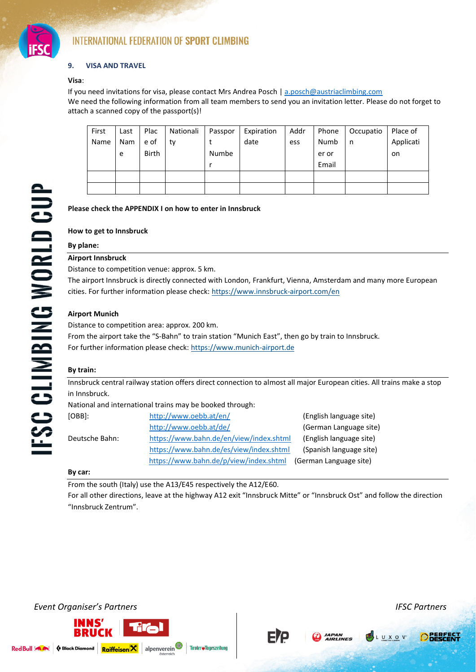

# **9. VISA AND TRAVEL**

#### **Visa**:

If you need invitations for visa, please contact Mrs Andrea Posch | [a.posch@austriaclimbing.com](mailto:a.posch@austriaclimbing.com) We need the following information from all team members to send you an invitation letter. Please do not forget to attach a scanned copy of the passport(s)!

| First | Last | Plac         | Nationali | Passpor | Expiration | Addr | Phone | Occupatio | Place of  |
|-------|------|--------------|-----------|---------|------------|------|-------|-----------|-----------|
| Name  | Nam  | e of         | ty        |         | date       | ess  | Numb  | n         | Applicati |
|       | e    | <b>Birth</b> |           | Numbe   |            |      | er or |           | on.       |
|       |      |              |           |         |            |      | Email |           |           |
|       |      |              |           |         |            |      |       |           |           |
|       |      |              |           |         |            |      |       |           |           |

# **Please check the APPENDIX I on how to enter in Innsbruck**

#### **How to get to Innsbruck**

#### **By plane:**

# **Airport Innsbruck**

Distance to competition venue: approx. 5 km.

The airport Innsbruck is directly connected with London, Frankfurt, Vienna, Amsterdam and many more European cities. For further information please check:<https://www.innsbruck-airport.com/en>

# **Airport Munich**

Distance to competition area: approx. 200 km.

From the airport take the "S-Bahn" to train station "Munich East", then go by train to Innsbruck. For further information please check: https://www.munich-airport.de

# **By train:**

Innsbruck central railway station offers direct connection to almost all major European cities. All trains make a stop in Innsbruck.

National and international trains may be booked through:

| [OBB]:         | http://www.oebb.at/en/                  | (English language site) |
|----------------|-----------------------------------------|-------------------------|
|                | http://www.oebb.at/de/                  | (German Language site)  |
| Deutsche Bahn: | https://www.bahn.de/en/view/index.shtml | (English language site) |
|                | https://www.bahn.de/es/view/index.shtml | (Spanish language site) |
|                | https://www.bahn.de/p/view/index.shtml  | (German Language site)  |

#### **By car:**

From the south (Italy) use the A13/E45 respectively the A12/E60.

For all other directions, leave at the highway A12 exit "Innsbruck Mitte" or "Innsbruck Ost" and follow the direction "Innsbruck Zentrum".



Red Bull 3 A





Tiroler#Tageszeitung

**JAPAN**<br>**AIRLINES** 

FIP

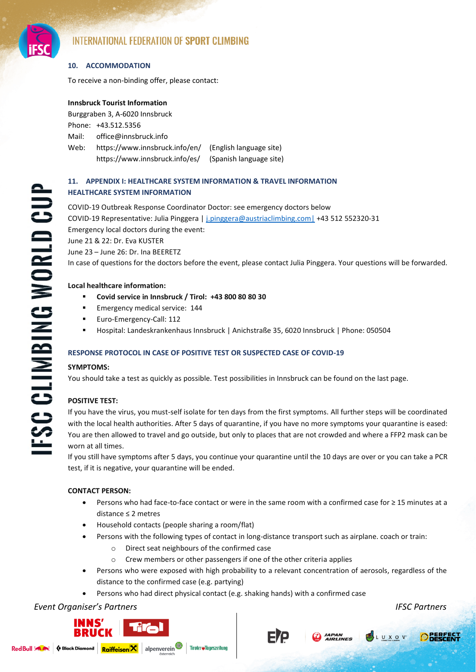

# **10. ACCOMMODATION**

To receive a non-binding offer, please contact:

# **Innsbruck Tourist Information**

Burggraben 3, A-6020 Innsbruck Phone: +43.512.5356 Mail: [office@innsbruck.info](mailto:office@innsbruck.info)  Web: https:/[/www.innsbruck.info/en/](http://www.innsbruck.info/en) (English language site) https://www.innsbruck.info/es/ (Spanish language site)

# **11. APPENDIX I: HEALTHCARE SYSTEM INFORMATION & TRAVEL INFORMATION HEALTHCARE SYSTEM INFORMATION**

COVID-19 Outbreak Response Coordinator Doctor: see emergency doctors below COVID-19 Representative: Julia Pinggera | [j.pinggera@austriaclimbing.com|](mailto:j.pinggera@austriaclimbing.com%7C) +43 512 552320-31 Emergency local doctors during the event:

June 21 & 22: Dr. Eva KUSTER

June 23 – June 26: Dr. Ina BEERETZ

In case of questions for the doctors before the event, please contact Julia Pinggera. Your questions will be forwarded.

# **Local healthcare information:**

- **Covid service in Innsbruck / Tirol: +43 800 80 80 30**
- Emergency medical service: 144
- Euro-Emergency-Call: 112
- Hospital: Landeskrankenhaus Innsbruck | Anichstraße 35, 6020 Innsbruck | Phone: 050504

# **RESPONSE PROTOCOL IN CASE OF POSITIVE TEST OR SUSPECTED CASE OF COVID-19**

# **SYMPTOMS:**

You should take a test as quickly as possible. Test possibilities in Innsbruck can be found on the last page.

# **POSITIVE TEST:**

If you have the virus, you must-self isolate for ten days from the first symptoms. All further steps will be coordinated with the local health authorities. After 5 days of quarantine, if you have no more symptoms your quarantine is eased: You are then allowed to travel and go outside, but only to places that are not crowded and where a FFP2 mask can be worn at all times.

If you still have symptoms after 5 days, you continue your quarantine until the 10 days are over or you can take a PCR test, if it is negative, your quarantine will be ended.

# **CONTACT PERSON:**

- Persons who had face-to-face contact or were in the same room with a confirmed case for ≥ 15 minutes at a distance ≤ 2 metres
- Household contacts (people sharing a room/flat)
- Persons with the following types of contact in long-distance transport such as airplane. coach or train:
	- o Direct seat neighbours of the confirmed case
	- o Crew members or other passengers if one of the other criteria applies
- Persons who were exposed with high probability to a relevant concentration of aerosols, regardless of the distance to the confirmed case (e.g. partying)
- Persons who had direct physical contact (e.g. shaking hands) with a confirmed case

Tiroler#Tageszeitung

# *Event Organiser's Partners IFSC Partners*







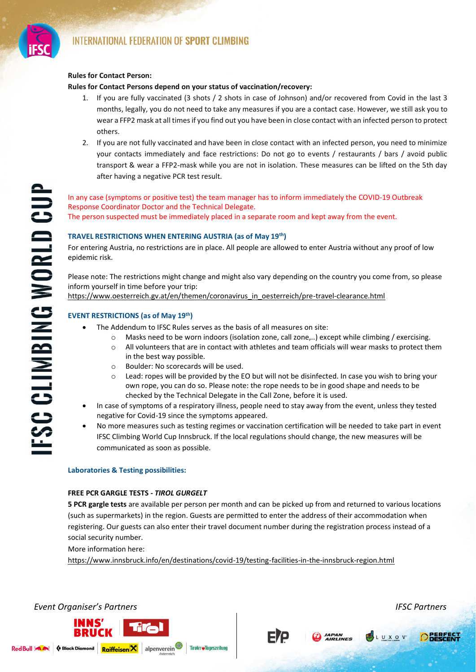

**FSC CLIMBING WORLD CUI** 

# **Rules for Contact Person:**

# **Rules for Contact Persons depend on your status of vaccination/recovery:**

- 1. If you are fully vaccinated (3 shots / 2 shots in case of Johnson) and/or recovered from Covid in the last 3 months, legally, you do not need to take any measures if you are a contact case. However, we still ask you to wear a FFP2 mask at all times if you find out you have been in close contact with an infected person to protect others.
- 2. If you are not fully vaccinated and have been in close contact with an infected person, you need to minimize your contacts immediately and face restrictions: Do not go to events / restaurants / bars / avoid public transport & wear a FFP2-mask while you are not in isolation. These measures can be lifted on the 5th day after having a negative PCR test result.

In any case (symptoms or positive test) the team manager has to inform immediately the COVID-19 Outbreak Response Coordinator Doctor and the Technical Delegate. The person suspected must be immediately placed in a separate room and kept away from the event.

# **TRAVEL RESTRICTIONS WHEN ENTERING AUSTRIA (as of May 19th)**

For entering Austria, no restrictions are in place. All people are allowed to enter Austria without any proof of low epidemic risk.

Please note: The restrictions might change and might also vary depending on the country you come from, so please inform yourself in time before your trip:

[https://www.oesterreich.gv.at/en/themen/coronavirus\\_in\\_oesterreich/pre-travel-clearance.html](https://www.oesterreich.gv.at/en/themen/coronavirus_in_oesterreich/pre-travel-clearance.html)

# **EVENT RESTRICTIONS (as of May 19th)**

- The Addendum to IFSC Rules serves as the basis of all measures on site:
	- $\circ$  Masks need to be worn indoors (isolation zone, call zone,..) except while climbing / exercising.
	- $\circ$  All volunteers that are in contact with athletes and team officials will wear masks to protect them in the best way possible.
	- o Boulder: No scorecards will be used.
	- $\circ$  Lead: ropes will be provided by the EO but will not be disinfected. In case you wish to bring your own rope, you can do so. Please note: the rope needs to be in good shape and needs to be checked by the Technical Delegate in the Call Zone, before it is used.
- In case of symptoms of a respiratory illness, people need to stay away from the event, unless they tested negative for Covid-19 since the symptoms appeared.
- No more measures such as testing regimes or vaccination certification will be needed to take part in event IFSC Climbing World Cup Innsbruck. If the local regulations should change, the new measures will be communicated as soon as possible.

#### **Laboratories & Testing possibilities:**

#### **FREE PCR GARGLE TESTS -** *TIROL GURGELT*

**5 PCR gargle tests** are available per person per month and can be picked up from and returned to various locations (such as supermarkets) in the region. Guests are permitted to enter the address of their accommodation when registering. Our guests can also enter their travel document number during the registration process instead of a social security number.

More information here:

<https://www.innsbruck.info/en/destinations/covid-19/testing-facilities-in-the-innsbruck-region.html>





**ETP** 

**D** JAPAN

LUXOV

**O**RESEES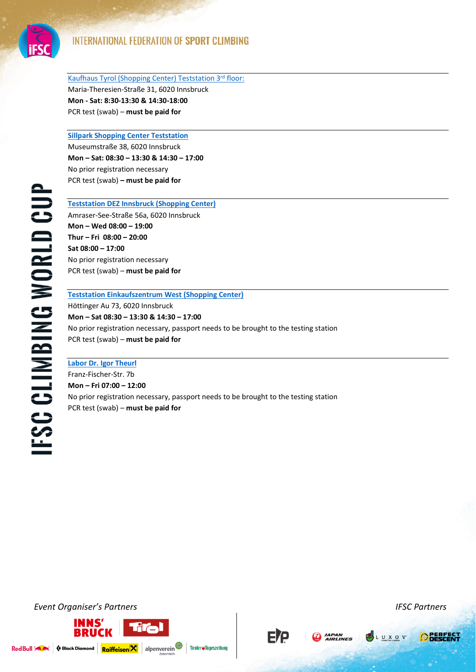

[Kaufhaus Tyrol \(Shopping Center\) Teststation 3](https://www.kaufhaus-tyrol.at/en/covid-19/)rd floor: Maria-Theresien-Straße 31, 6020 Innsbruck **Mon - Sat: 8:30-13:30 & 14:30-18:00**  PCR test (swab) – **must be paid for**

**[Sillpark Shopping Center Teststation](https://www.sillpark.at/de/shops/covid-19-teststation/)**

Museumstraße 38, 6020 Innsbruck **Mon – Sat: 08:30 – 13:30 & 14:30 – 17:00** No prior registration necessary PCR test (swab) **– must be paid for**

**FSC CLIMBING WORLD CUP** 

**[Teststation DEZ Innsbruck \(Shopping Center\)](https://www.dez.at/news-und-events/corona-testangebot-am-dez-areal-n22618/)** Amraser-See-Straße 56a, 6020 Innsbruck **Mon – Wed 08:00 – 19:00 Thur – Fri 08:00 – 20:00 Sat 08:00 – 17:00** No prior registration necessary PCR test (swab) – **must be paid for**

# **[Teststation Einkaufszentrum West \(Shopping Center\)](https://www.innsbruckwest.at/covid-19-teststation/)**

Höttinger Au 73, 6020 Innsbruck **Mon – Sat 08:30 – 13:30 & 14:30 – 17:00**  No prior registration necessary, passport needs to be brought to the testing station PCR test (swab) – **must be paid for**

**[Labor Dr. Igor Theurl](https://labordiagnostik.tirol/corona-covid-19-test/#touristInfo)**

Franz-Fischer-Str. 7b **Mon – Fri 07:00 – 12:00**  No prior registration necessary, passport needs to be brought to the testing station PCR test (swab) – **must be paid for**

*Event Organiser's Partners IFSC Partners*







**PSLUXOV** 



♦ Black Diamond Raiffeisen X alpenverein Red Bull 3 Av

Tiroler#Tageszeitung